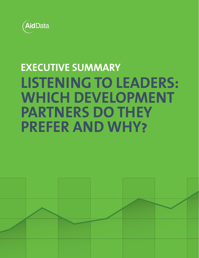

## **EXECUTIVE SUMMARY LISTENING TO LEADERS: WHICH DEVELOPMENT PARTNERS DO THEY PREFER AND WHY?**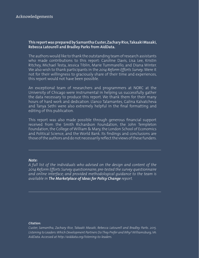#### **This report was prepared by Samantha Custer, Zachary Rice, Takaaki Masaki, Rebecca Latourell and Bradley Parks from AidData.**

The authors would like to thank the outstanding team of research assistants who made contributions to this report: Caroline Davis, Lisa Lee, Kristin Ritchey, Michael Testa, Jessica Tiblin, Marie Tummarello, and Diana Winter. We also wish to thank participants in the *2014 Reform Efforts Survey*. Were it not for their willingness to graciously share of their time and experiences, this report would not have been possible.

An exceptional team of researchers and programmers at NORC at the University of Chicago were instrumental in helping us successfully gather the data necessary to produce this report. We thank them for their many hours of hard work and dedication. Llanco Talamantes, Galina Kalvatcheva and Tanya Sethi were also extremely helpful in the final formatting and editing of this publication.

This report was also made possible through generous financial support received from the Smith Richardson Foundation, the John Templeton Foundation, the College of William & Mary, the London School of Economics and Political Science, and the World Bank. Its findings and conclusions are those of the authors and do not necessarily reflect the views of these funders.

#### *Note:*

*A full list of the individuals who advised on the design and content of the 2014 Reform Efforts Survey questionnaire; pre-tested the survey questionnaire and online interface; and provided methodological guidance to the team is available in The Marketplace of Ideas for Policy Change report.* 

#### *Citation:*

*Custer, Samantha, Zachary Rice, Takaaki Masaki, Rebecca Latourell and Bradley Parks. 2015. Listening to Leaders: Which Development Partners Do They Prefer and Why? Williamsburg, VA: AidData. Accessed at http://aiddata.org/listening-to-leaders.*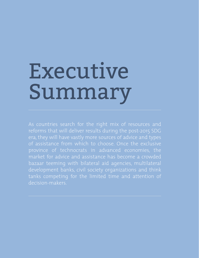# Executive Summary

As countries search for the right mix of resources and reforms that will deliver results during the post-2015 SDG era, they will have vastly more sources of advice and types of assistance from which to choose. Once the exclusive province of technocrats in advanced economies, the market for advice and assistance has become a crowded bazaar teeming with bilateral aid agencies, multilateral development banks, civil society organizations and think tanks competing for the limited time and attention of decision-makers.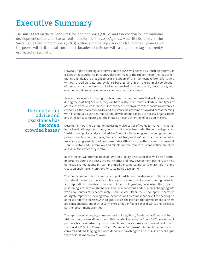### Executive Summary

The sun has set on the Millennium Development Goals (MDGs) and a new dawn for international development cooperation has arrived in the form of the 2030 Agenda. Much like its forbearer, the Sustainable Development Goals (SDGs) outline a compelling vision of a future for our planet and the people within it, but take on a much broader set of issues with a larger price tag — currently estimated at \$5-7 trillion.

> However, if past is prologue, progress on the SDGs will depend as much on reforms as it does on resources. For in-country decision-makers, the rubber meets the road when money and ideas are brought to bear in support of their domestic reform efforts. And without a credible data and evidence base, zeroing in on the optimal combination of resources and reforms to tackle entrenched socio-economic, governance, and environmental problems requires alchemy rather than science.

the market for advice and assistance has become a crowded bazaar

As countries search for the right mix of resources and reforms that will deliver results during the post-2015 SDG era, they will have vastly more sources of advice and types of assistance from which to choose. Once the exclusive province of technocrats in advanced economies, the market for advice and assistance has become a crowded bazaar teeming with bilateral aid agencies, multilateral development banks, civil society organizations and think tanks competing for the limited time and attention of decision-makers.

Development partners bring an increasingly diverse set of wares to market, including: impact evaluations, cross-country benchmarking exercises, in-depth country diagnostics, "just-in-time" policy analysis and advice, South-South training and twinning programs, peer-to-peer learning networks, "engaged advisory services", and traditional technical assistance programs. Yet, we know remarkably little about how the buyers in this market – public sector leaders from low and middle-income countries – choose their suppliers and value the advice they receive.

In this report, we attempt to shed light on a policy discussion that will be of central importance during the post-2015 era: whether and how development partners can help domestic change agents in low- and middle-income countries to enact reforms and create an enabling environment for sustainable development.

This longstanding debate remains opinion-rich and evidence-poor. Some argue that development partners can play a positive and pivotal role: offering financial and reputational benefits to reform-minded policymakers, increasing the costs of postponing reform through financial and social sanctions, and equipping change agents with new sources of evidence, analysis, and advice. Others view development partners as largely impotent, providing weak incentives and pressures that have little bearing on domestic reform processes. A third group takes the position that development partners are consequential, but they usually exert undue influence that distorts and displaces partner government priorities.

The rapid rise of emerging powers – most notably, Brazil, Russia, India, China and South Africa – brings a new dimension to this debate. The arrival of "non-DAC" development partners is characterized by many pundits and policymakers as a seismic shift, with the so-called "Beijing Consensus" and "Mumbai Consensus" winning large numbers of converts and challenging the once dominant "Washington Consensus." Others argue that these claims are overblown.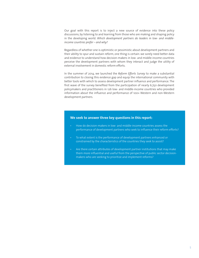Our goal with this report is to inject a new source of evidence into these policy discussions, by listening to and learning from those who are making and shaping policy in the developing world. *Which development partners do leaders in low- and middleincome countries prefer – and why?*

Regardless of whether one is optimistic or pessimistic about development partners and their ability to spur and sustain reform, one thing is certain: we sorely need better data and evidence to understand how decision-makers in low- and middle-income countries perceive the development partners with whom they interact and judge the utility of external involvement in domestic reform efforts.

In the summer of 2014, we launched the *Reform Efforts Survey* to make a substantial contribution to closing this evidence gap and equip the international community with better tools with which to assess development partner influence and performance. The first wave of the survey benefited from the participation of nearly 6,750 development policymakers and practitioners in 126 low- and middle-income countries who provided information about the influence and performance of 100+ Western and non-Western development partners.

#### **We seek to answer three key questions in this report:**

- How do decision-makers in low- and middle-income countries assess the performance of development partners who seek to influence their reform efforts?
- To what extent is the performance of development partners enhanced or constrained by the characteristics of the countries they seek to assist?
- Are there certain attributes of development partner institutions that may make them more influential and useful from the perspective of public sector decisionmakers who are seeking to prioritize and implement reforms?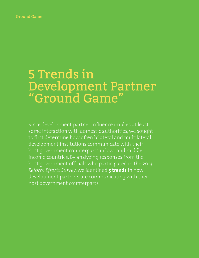#### Ground Game

### 5 Trends in Development Partner "Ground Game"

Since development partner influence implies at least some interaction with domestic authorities, we sought to first determine how often bilateral and multilateral development institutions communicate with their host government counterparts in low- and middleincome countries. By analyzing responses from the host government officials who participated in the *2014 Reform Efforts Survey*, we identified **5 trends** in how development partners are communicating with their host government counterparts.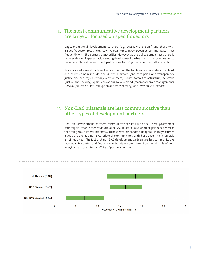#### 1. The most communicative development partners are large or focused on specific sectors

Large, multilateral development partners (e.g., UNDP, World Bank) and those with a specific sector focus (e.g., GAVI, Global Fund, IFAD) *generally* communicate most frequently with the domestic authorities. However, at the policy domain level, there is more evidence of specialization among development partners and it becomes easier to see where bilateral development partners are focusing their communication efforts.

Bilateral development partners that rank among the top five communicators in at least one policy domain include: the United Kingdom (anti-corruption and transparency, justice and security), Germany (environment), South Korea (infrastructure), Australia (justice and security), Spain (education), New Zealand (macroeconomic management), Norway (education, anti-corruption and transparency), and Sweden (civil service).

#### 2. Non-DAC bilaterals are less communicative than other types of development partners

Non-DAC development partners communicate far less with their host government counterparts than either multilateral or DAC bilateral development partners. Whereas the average multilateral interacts with host government officials approximately six times a year, the average non-DAC bilateral communicates with host government officials 2-3 times a year. The fact that non-DAC development partners are less communicative may indicate staffing and financial constraints or commitment to the principle of *noninterference* in the internal affairs of partner countries.

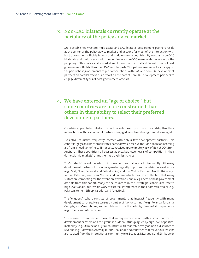#### 3. Non-DAC bilaterals currently operate at the periphery of the policy advice market

More established Western multilateral and DAC bilateral development partners reside at the center of the policy advice market and account for most of the interaction with host government officials in low- and middle-income countries. By contrast, non-DAC bilaterals and multilaterals with predominately non-DAC membership operate on the periphery of this policy advice market and interact with a mostly different cohort of host government officials than their DAC counterparts. This pattern may reflect a strategy on the part of host governments to put conversations with DAC and non-DAC development partners on parallel tracks or an effort on the part of non-DAC development partners to engage different types of host government officials.

#### 4. We have entered an "age of choice," but some countries are more constrained than others in their ability to select their preferred development partners.

Countries appear to fall into four distinct cohorts based upon the scope and depth of their interactions with development partners: engaged, selective, strategic and disengaged.

"Selective" countries frequently interact with only a few development partners. This cohort largely consists of small states, some of which receive the lion's share of incoming aid from a "lead donor" (e.g., Timor-Leste receives approximately 34% of its net ODA from Australia). These countries still possess agency, but lower levels of competition in their domestic "aid markets" grant them relatively less choice.

The "strategic" cohort is made up of those countries that interact infrequently with many development partners. It includes geo-strategically important countries in West Africa (e.g., Mali, Niger, Senegal, and Côte d'Ivoire) and the Middle East and North Africa (e.g., Jordan, Palestine, Kurdistan, Yemen, and Sudan), which may reflect the fact that many suitors are competing for the attention, affections, and allegiances of host government officials from this cohort. Many of the countries in this "strategic" cohort also receive high levels of aid, but remain wary of external interference in their domestic affairs (e.g., Pakistan, Yemen, Ethiopia, Sudan, and Palestine).

The "engaged" cohort consists of governments that interact frequently with many development partners. Here we see a number of "donor darlings" (e.g., Rwanda, Tanzania, Georgia, and Mozambique) and countries with particularly high levels of aid dependence (e.g., Liberia and Afghanistan).

"Disengaged" countries are those that infrequently interact with a small number of development partners, and this group include countries plagued by high level of political instability (e.g., Ukraine and Syria), countries with that rely heavily on non-aid sources of revenue (e.g. Botswana, Azerbaijan, and Thailand), and countries that for various reasons are isolated from the international community (e.g. Ecuador, Nicaragua, and Zimbabwe).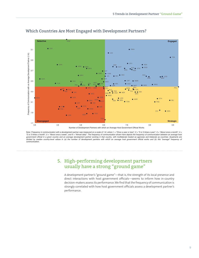

#### Which Countries Are Most Engaged with Development Partners?

Note: Frequency in communication with a development partner was measured on a scale of 1-6, where 1 = "Once a year or less", 2 = "2 or 3 times a year", 3 = "About once a month", 4 = "2 or 3 times a month", 5 = "About once a week", and 6 = "Almost daily". The frequency of communication betwern an average host and between an average host and billy. The frequency of communication between an average host divided by median country-level values in (a) the number of development partners with which an average host government official works and (b) this "average" frequency of *communication.*

#### 5. High-performing development partners usually have a strong "ground game"

A development partner's "ground game"—that is, the strength of its local presence and direct interactions with host government officials—seems to inform how in-country decision-makers assess its performance. We find that the frequency of communication is strongly correlated with how host government officials assess a development partner's performance.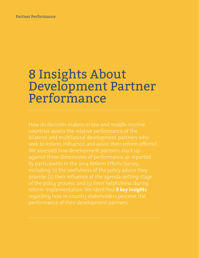#### Partner Performance

## 8 Insights About Development Partner Performance

How do decision-makers in low and middle-income reform implementation. We identified **8 key insights**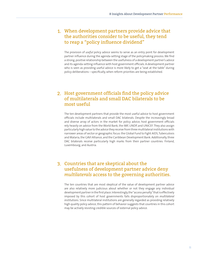#### 1. When development partners provide advice that the authorities consider to be useful, they tend to reap a "policy influence dividend"

The provision of *useful* policy advice seems to serve as an entry point for development partner influence during the agenda-setting stage of the policymaking process. We find a strong, positive relationship between the usefulness of a development partner's advice and its agenda-setting influence with host government officials. A development partner who is seen as providing useful advice is more likely to get a "seat at the table" during policy deliberations – specifically, when reform priorities are being established.

#### 2. Host government officials find the policy advice of multilaterals and small DAC bilaterals to be most useful

The ten development partners that provide the most useful advice to host government officials include multilaterals and small DAC bilaterals. Despite the increasingly broad and diverse array of actors in the market for policy advice, host government officials rely heavily on advice from the World Bank, the IMF, UNDP, and UNICEF. They also assign particularly high value to the advice they receive from three multilateral institutions with narrower areas of sector or geographic focus: the Global Fund to Fight AIDS, Tuberculosis and Malaria, the GAVI Alliance, and the Caribbean Development Bank. Additionally, three DAC bilaterals receive particularly high marks from their partner countries: Finland, Luxembourg, and Austria.

#### 3. Countries that are skeptical about the usefulness of development partner advice deny *multilaterals* access to the governing authorities.

The ten countries that are most skeptical of the value of development partner advice are also relatively more judicious about whether or not they engage any individual development partner in the first place. Interestingly, the "access penalty" that is effectively imposed by this cohort of host governments falls disproportionately on *multilateral institutions*. Since multilateral institutions are generally regarded as providing relatively high quality policy advice, this pattern of behavior suggests that countries in this cohort may be actively resisting credible sources of external policy advice.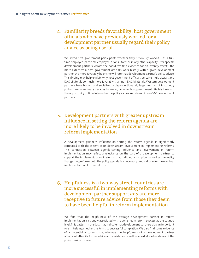#### 4. Familiarity breeds favorability: host government officials who have previously worked for a development partner usually regard their policy advice as being useful

We asked host government participants whether they previously worked – as a fulltime employee, part-time employee, a consultant, or in any other capacity – for specific development partners. Across the board, we find evidence for an "affinity effect": the more extensive a host government official's work history with a given development partner, the more favorably he or she will rate that development partner's policy advice. This finding may help explain why host government officials perceive multilaterals and DAC bilaterals so much more favorably than non-DAC bilaterals. Western development partners have trained and socialized a disproportionately large number of in-country policymakers over many decades. However, far fewer host government officials have had the opportunity or time internalize the policy values and views of non-DAC development partners.

#### 5. Development partners with greater upstream influence in setting the reform agenda are more likely to be involved in downstream reform implementation

A development partner's influence on setting the reform agenda is significantly correlated with the extent of its downstream involvement in implementing reforms. This connection between agenda-setting influence and involvement in reform implementation may reflect a reluctance on the part of a development partner to support the implementation of reforms that it did not champion, as well as the reality that getting reforms onto the policy agenda is a necessary precondition for the eventual implementation of those reforms.

#### 6. Helpfulness is a two-way street: countries are more successful in implementing reforms with development partner support *and* are more receptive to future advice from those they deem to have been helpful in reform implementation

We find that the helpfulness of the average development partner in reform implementation is strongly associated with downstream reform success at the country level. This pattern in the data may indicate that development partners play an important role in helping shepherd reforms to successful completion. We also find some evidence of a potential virtuous circle, whereby the helpfulness of a development partner affects whether its future advice and assistance is well received at earlier stages of the policymaking process.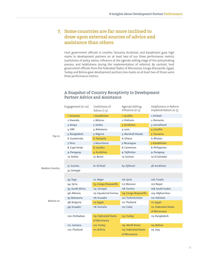#### 7. Some countries are far more inclined to draw upon external sources of advice and assistance than others

Host government officials in Lesotho, Tanzania, Kurdistan, and Kazakhstan gave high marks to development partners on at least two of our three performance metrics (usefulness of policy advice, influence at the agenda-setting stage of the policymaking process, and helpfulness during the implementation of reforms). By contrast, host government officials from the Federated States of Micronesia, Congo-Brazzaville, Egypt, Turkey, and Bolivia gave development partners low marks on at least two of those same three performance metrics.

|                       | Engagement (0-10) | Usefulness of<br>Advice $(1-5)$ | Agenda-Setting<br>Influence (0-5) | Helpfulness in Reform<br>Implementation (0-5) |
|-----------------------|-------------------|---------------------------------|-----------------------------------|-----------------------------------------------|
|                       | 1. Tanzania       | 1. Kazakhstan                   | 1. Lesotho                        | 1. Kiribati                                   |
|                       | 2. Rwanda         | 2. Belarus                      | 2. Vietnam                        | 2. Romania                                    |
|                       | 3. Kenya          | 3. Serbia                       | 3. Kurdistan                      | 3. Somaliland                                 |
|                       | 4. DRC            | 4. Botswana                     | 4. Laos                           | 4. Lesotho                                    |
| Top 10                | 5. Bangladesh     | 5. Nigeria                      | 5. Marshall Islands               | 5. Tanzania                                   |
|                       | 6. Guatemala      | 6. Tanzania                     | 6. Ghana                          | 6. Bhutan                                     |
|                       | 7. Peru           | 7. Mauritania                   | 7. Nicaragua                      | 7. Kazakhstan                                 |
|                       | 8. Cape Verde     | 8. Lesotho                      | 8. Cameroon                       | 8. Philippines                                |
|                       | 9. Paraguay       | 9. Kurdistan                    | 9. Tajikistan                     | 9. Paraguay                                   |
|                       | 10. Serbia        | 10. Benin                       | 10. Guinea                        | 10. El Salvador                               |
|                       |                   |                                 |                                   |                                               |
| <b>Median Country</b> | 51. Guinea        | 61. Kiribati                    | 63. Djibouti                      | 58. Kurdistan                                 |
|                       | 52. Senegal       |                                 |                                   |                                               |
|                       |                   |                                 |                                   |                                               |
|                       | 93. Togo          | 112. Niger                      | 116. Syria                        | 106. Tuvalu                                   |
|                       | 94. Syria         | 113. Congo-Brazzaville          | 117. Morocco                      | 107. Nepal                                    |
|                       | 95. South Africa  | 114. Senegal                    | 118. Tunisia                      | 108. South Sudan                              |
|                       | 96. Albania       | 115. Equatorial Guinea          | 119. Congo-Brazzaville            | 109. Afghanistan                              |
|                       | 97. Botswana      | 116. Ecuador                    | 120. Turkmenistan                 | 110. Pakistan                                 |
| Bottom 10             | 98. Bulgaria      | 117. Egypt                      | 121. Thailand                     | 111. Egypt                                    |
|                       | 99. Ecuador       | 118. Somalia                    | 122. Cuba                         | 112. Federated States                         |
|                       |                   |                                 |                                   | of Micronesia                                 |
|                       | 100. Zimbabwe     | 119. Federated States           | 123. Turkey                       | 113. Bangladesh                               |
|                       |                   | of Micronesia                   |                                   |                                               |
|                       | 101. Jamaica      | 120. Turkey                     | 124. North Korea                  | 114. Bolivia                                  |
|                       | 102. Thailand     | 121. Bolivia                    | 125. Federated States             | 115. Iraq                                     |
|                       |                   |                                 | of Micronesia                     |                                               |

#### A Snapshot of Country Receptivity to Development Partner Advice and Assistance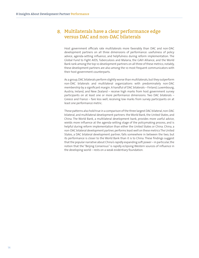#### 8. Multilaterals have a clear performance edge versus DAC and non-DAC bilaterals

Host government officials rate multilaterals more favorably than DAC and non-DAC development partners on all three dimensions of performance: usefulness of policy advice, agenda-setting influence, and helpfulness during reform implementation. The Global Fund to Fight AIDS, Tuberculosis and Malaria, the GAVI Alliance, and the World Bank rank among the top 10 development partners on all three of these metrics; notably, these development partners are also among the 10 most frequent communicators with their host government counterparts.

As a group, DAC bilaterals perform slightly worse than multilaterals, but they outperform non-DAC bilaterals and multilateral organizations with predominately non-DAC membership by a significant margin. A handful of DAC bilaterals – Finland, Luxembourg, Austria, Ireland, and New Zealand – receive high marks from host government survey participants on at least one or more performance dimensions. Two DAC bilaterals – Greece and France – fare less well, receiving low marks from survey participants on at least one performance metric.

These patterns also hold true in a comparison of the three largest DAC bilateral, non-DAC bilateral, and multilateral development partners: the World Bank, the United States, and China. The World Bank, a multilateral development bank, provides more useful advice, wields more influence at the agenda-setting stage of the policymaking process, and is helpful during reform implementation than either the United States or China. China, a non-DAC bilateral development partner, performs least well on these metrics The United States, a DAC bilateral development partner, falls somewhere in between the two, but its performance is closer to the World Bank than it is to China. These findings suggest that the popular narrative about China's rapidly expanding soft power – in particular, the notion that the "Beijing Consensus" is rapidly eclipsing Western sources of influence in the developing world – rests on a weak evidentiary foundation.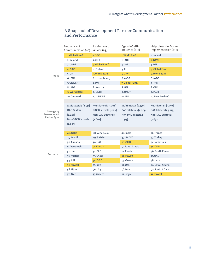|                      | Frequency of<br>Communication (1-6) | Usefulness of<br>Advice $(1-5)$ | Agenda-Setting<br>Influence $(0-5)$ | Helpfulness in Reform<br>Implementation $(0-5)$ |
|----------------------|-------------------------------------|---------------------------------|-------------------------------------|-------------------------------------------------|
|                      | 1. Global Fund                      | 1. GAVI                         | 1. World Bank                       | 1. Ireland                                      |
|                      | 2. Ireland                          | 2. CDB                          | 2. IADB                             | 2. GAVI                                         |
|                      | 3. UNDP                             | 3. Global Fund                  | 3. IMF                              | 3. IMF                                          |
|                      | 4. GAVI                             | 4. Finland                      | 4.EU                                | 4. Global Fund                                  |
| Top 10               | 5. UN                               | 5. World Bank                   | 5. GAVI                             | 5. World Bank                                   |
|                      | 6. IFAD                             | 6. Luxembourg                   | 6. AsDB                             | 6. AsDB                                         |
|                      | 7. UNICEF                           | 7. IMF                          | 7. Global Fund                      | 7. IFAD                                         |
|                      | 8. IADB                             | 8. Austria                      | 8. GEF                              | 8. GEF                                          |
|                      | 9. World Bank                       | 9. UNDP                         | 9. UNDP                             | 9. IADB                                         |
|                      | 10. Denmark                         | 10. UNICEF                      | 10. UN                              | 10. New Zealand                                 |
|                      |                                     |                                 |                                     |                                                 |
|                      | Multilaterals [2.541]               | Multilaterals [3.206]           | Multilaterals [2.370]               | Multilaterals [3.350]                           |
| Average by           | <b>DAC Bilaterals</b>               | DAC Bilaterals [3.126]          | DAC Bilaterals [2.009]              | DAC Bilaterals [3.125]                          |
| Development          | $[2.455]$                           | Non-DAC Bilaterals              | Non-DAC Bilaterals                  | Non-DAC Bilaterals                              |
| Partner Type         | <b>Non-DAC Bilaterals</b>           | $[2.602]$                       | $[1.313]$                           | $[2.697]$                                       |
|                      | $[2.083]$                           |                                 |                                     |                                                 |
|                      |                                     |                                 |                                     |                                                 |
|                      | 48. OFID                            | 48. Venezuela                   | 48. India                           | 42. France                                      |
|                      | 49. Brazil                          | 49. BADEA                       | 49. BADEA                           | 43. Turkey                                      |
|                      | 50. Canada                          | 50. UAE                         | 50. OFID                            | 44. Venezuela                                   |
|                      | 51. Venezuela                       | 51. Kuwait                      | 51. Saudi Arabia                    | 45. OFID                                        |
|                      | 52. Iran                            | 52. CAF                         | 52. Russia                          | 46. South Korea                                 |
| Bottom <sub>10</sub> | 53. Austria                         | 53. CABEI                       | 53. Kuwait                          | 47. UAE                                         |
|                      | 54. CAF                             | <b>54. OFID</b>                 | 54. Greece                          | 48. India                                       |
|                      | 55. Kuwait                          | 55. Iran                        | 55. UAE                             | 49. Saudi Arabia                                |
|                      | 56. Libya                           | 56. Libya                       | 56. Iran                            | 50. South Africa                                |
|                      | 57. AMF                             | 57. Greece                      | 57. Libya                           | 51. Kuwait                                      |

#### A Snapshot of Development Partner Communication and Performance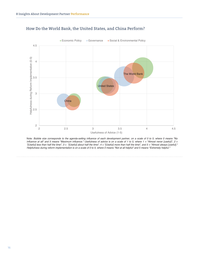

#### How Do the World Bank, the United States, and China Perform?

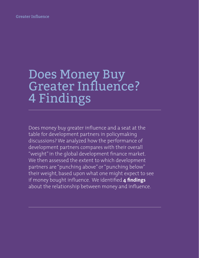Greater Influence

## Does Money Buy Greater Influence? 4 Findings

Does money buy greater influence and a seat at the table for development partners in policymaking discussions? We analyzed how the performance of development partners compares with their overall "weight" in the global development finance market. We then assessed the extent to which development partners are "punching above" or "punching below" their weight, based upon what one might expect to see if money bought influence. We identified **4 findings** about the relationship between money and influence.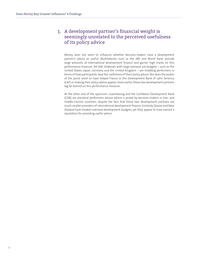#### 1. A development partner's financial weight is seemingly unrelated to the perceived usefulness of its policy advice

Money does not seem to influence whether decision-makers view a development partner's advice as useful. Multilaterals, such as the IMF and World Bank, provide large amounts of international development finance and garner high marks on this performance measure. Yet DAC bilaterals with large overseas aid budgets – such as the United States, Japan, Germany and the United Kingdom – are middling performers in terms of how participants view the usefulness of their policy advice. Nor does the power of the purse seem to have helped France or the Development Bank of Latin America (CAF) in making their policy advice appear more useful; these two development partners lag far behind on this performance measure.

At the other end of the spectrum, Luxembourg and the Caribbean Development Bank (CDB) are standout performers whose advice is prized by decision-makers in low- and middle-income countries, despite the fact that these two development partners are much smaller providers of international development finance. Similarly, Taiwan and New Zealand have modest overseas development budgets, yet they appear to have earned a reputation for providing useful advice.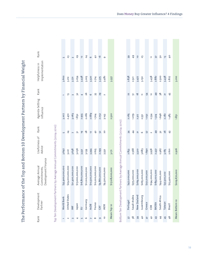| )                        |
|--------------------------|
|                          |
| i                        |
| .<br>!                   |
|                          |
|                          |
|                          |
|                          |
| j                        |
|                          |
|                          |
| ומדי הבא מית היו ביו המ  |
|                          |
|                          |
|                          |
|                          |
| $\overline{\phantom{a}}$ |
|                          |
|                          |
|                          |
| $\frac{1}{2}$<br>ï       |
| I                        |
|                          |
| l<br>)<br>               |
|                          |
|                          |
|                          |
|                          |
|                          |
|                          |
|                          |
| Í                        |
|                          |
|                          |
|                          |
| I                        |
| יי איניא אן טא           |
|                          |
|                          |
| i<br>I                   |
| +<br>+<br><              |
|                          |
|                          |
|                          |
|                          |
|                          |
| I                        |
| I                        |
| $\frac{1}{2}$            |
| Ē<br>I                   |

| Rank                     | Development<br>Partner | Development Finance<br>Average Annual<br>Commitments,                     | Usefulness of<br>Advice | Rank                    | Agenda-Setting<br>Influence | Rank            | Implementation<br>Helpfulness in | Rank           |
|--------------------------|------------------------|---------------------------------------------------------------------------|-------------------------|-------------------------|-----------------------------|-----------------|----------------------------------|----------------|
|                          |                        | Top Ten Development Partners by Average Annual Commitments (2004-2010)    |                         |                         |                             |                 |                                  |                |
| $\overline{\phantom{0}}$ | World Bank             | 900,000,000<br>\$35,                                                      | 3.697                   | S                       | 3.207                       | $\overline{ }$  | 3.602                            | S              |
| $\sim$                   | United States          | \$29,200,000,000                                                          | 3.221                   | $\overline{4}$          | 2.472                       | 5L              | 3.212                            | 23             |
| 3                        | $\leq$                 | \$21,400,000,000                                                          | 3.638                   | $\overline{ }$          | 3.063                       | $\overline{m}$  | 3.771                            | $\sim$         |
| 4                        | Japan                  | \$17,000,000,000                                                          | 3.036                   | $\overline{5}$          | 1.832                       | 32              | 3.054                            | 29             |
| $\overline{5}$           | $\Xi$                  | \$16,800,000,000                                                          | 3.332                   | ÖL.                     | 2.955                       | 4               | 3.438                            | 12             |
| O                        | Germany                | \$11,100,000,000                                                          | 3.139                   | 28                      | 2.082                       | 26              | 3.203                            | $\overline{4}$ |
| $\overline{ }$           | AsDB                   | 500,000,000<br>\$10,                                                      | 3.394                   | Ţ                       | 2.689                       | $\circ$         | 3.520                            | $\circ$        |
| $\infty$                 | France                 | \$10,200,000,000                                                          | 2.625                   | $\frac{1}{4}$           | 1.704                       | 55              | 2.714                            | $\frac{1}{4}$  |
| G                        | <b>GH</b>              | \$9,860,000,000                                                           | 2.299                   | 52                      | 2.052                       | 29              | 3.375                            | $\frac{9}{2}$  |
| $\overline{a}$           | <b>IADB</b>            | \$9,320,000,000                                                           | 3.332                   | 20                      | 3.143                       | $\sim$          | 3.482                            | G              |
|                          | Mean: Top 10           | \$17,128,000,000                                                          | 3.171                   |                         | <b>2.520</b>                |                 | 3.337                            |                |
|                          |                        |                                                                           |                         |                         |                             |                 |                                  |                |
|                          |                        | Bottom Ten Development Partners by Average Annual Commitments (2004-2010) |                         |                         |                             |                 |                                  |                |
| 75                       | Portugal               | \$451,000,000                                                             | 2.853                   | 34                      | 2.265                       | 22              | 2.838                            | 39             |
| $\frac{8}{3}$            | Saudi Arabia           | \$373,000,000                                                             | 2.568                   | 4                       | <b>1.079</b>                | Б               | 2.521                            | $^{49}$        |
| 39                       | New Zealand            | \$269,000,000                                                             | 3.320                   | $\overline{\mathbf{a}}$ | 2.317                       | $\frac{8}{18}$  | 3.477                            | $\overline{a}$ |
| $\frac{1}{2}$            | Luxembourg             | \$265,000,000                                                             | 3.683                   | $\circ$                 | 2.551                       | Ξ               | 3.150                            | 25             |
| $\overline{4}$           | Greece                 | \$251,000,000                                                             | 1.690                   | 57                      | 1.032                       | 54              |                                  |                |
| $\frac{1}{2}$            | CDB                    | \$194,000,000                                                             | 3.958                   | $\sim$                  | 2.534                       | $\overline{a}$  | 3.458                            | Ξ              |
| 43                       | BADEA                  | \$189,000,000                                                             | 2.437                   | $\overline{6}$          | 1.324                       | 49              | 2.882                            | 57             |
| $\ddot{a}$               | South Africa           | \$44,000,000                                                              | 2.967                   | 32                      | 1.646                       | 38              | 2.500                            | SO             |
| 45                       | Taiwan                 | \$37,300,000                                                              | 3.185                   | 26                      | 2.282                       | $\overline{21}$ | 3.438                            | $\tilde{L}$    |
| $\frac{6}{4}$            | <b>Brazil</b>          | \$23,400,000                                                              | <b>2.601</b>            | 43                      | 1.483                       | 45              | 2.827                            | $\frac{1}{4}$  |

**Mean: Bottom 10 \$209,670,000 2.926 1.851 3.010**

2.926

\$209,670,000

Mean: Bottom 10

1.851

3.010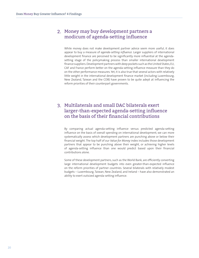#### 2. Money may buy development partners a modicum of agenda-setting influence

While money does not make development partner advice seem more useful, it does appear to buy a measure of *agenda-setting influence*. Larger suppliers of international development finance are perceived to be significantly more influential at the agendasetting stage of the policymaking process than smaller international development finance suppliers. Development partners with deep pockets such as the United States, EU, CAF and France perform better on the agenda-setting influence measure than they do on the other performance measures. Yet, it is also true that several actors with relatively little weight in the international development finance market (including Luxembourg, New Zealand, Taiwan and the CDB) have proven to be quite adept at influencing the reform priorities of their counterpart governments.

#### 3. Multilaterals and small DAC bilaterals exert larger-than-expected agenda-setting influence on the basis of their financial contributions

By comparing actual agenda-setting influence versus predicted agenda-setting influence on the basis of overall spending on international development, we can more systematically assess which development partners are punching above or below their financial weight. The top half of our *Value for Money* index includes those development partners that appear to be punching above their weight, or achieving higher levels of agenda-setting influence than one would predict based upon their financial contributions alone.

Some of these development partners, such as the World Bank, are efficiently converting large international development budgets into even greater-than-expected influence on the reform priorities of partner countries. Several bilaterals with relatively modest budgets – Luxembourg, Taiwan, New Zealand, and Ireland – have also demonstrated an ability to exert outsized agenda-setting influence.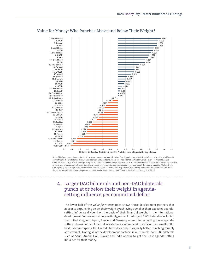

#### Value for Money: Who Punches Above and Below Their Weight?

Notes: This figure presents an estimate of each development partner's deviation from Expected Agenda-Setting Influence given the total financial commitments it provided in an average year between 2004 and 2010, where Expected Agenda-Setting Influence = 0.129 \* ln(Average Annual Commitments) - 0.631. Not all development partners make comprehensive project-level data on their development finance activities readily available, so the annual average commitments data that we use in our calculations do not necessarily represent each development partners' full portfolio. Consequently, the rankings listed above may be affected by this data limitation. In particular, the rankings of non-DAC bilaterals indicated with a \* should be interpreted with caution given the limited availability of data on their financial flows. Source: Tierney et al. (2011)

#### 4. Larger DAC bilaterals and non-DAC bilaterals punch at or below their weight in agendasetting influence per committed dollar

The lower half of the *Value for Money* index shows those development partners that appear to be punching below their weight by achieving a smaller-than-expected agendasetting influence dividend on the basis of their financial weight in the international development finance market. Interestingly, some of the largest DAC bilaterals – including the United Kingdom, Japan, France, and Germany – seem to be getting lower agendasetting returns on their financial investments, as compared to some of their smaller DAC bilateral counterparts. The United States does only marginally better, punching roughly at its weight. Among all of the development partners in our sample, non-DAC bilaterals such as Saudi Arabia, UAE, Kuwait and India appear to get the least agenda-setting influence for their money.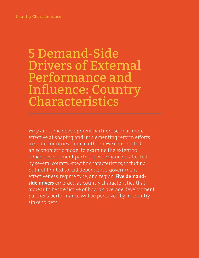### 5 Demand-Side Drivers of External Performance and Influence: Country Characteristics

Why are some development partners seen as more effective at shaping and implementing reform efforts in some countries than in others? We constructed an econometric model to examine the extent to which development partner performance is affected by several country-specific characteristics, including but not limited to: aid dependence, government effectiveness, regime type, and region. **Five demandside drivers** emerged as country characteristics that appear to be predictive of how an average development partner's performance will be perceived by in-country stakeholders.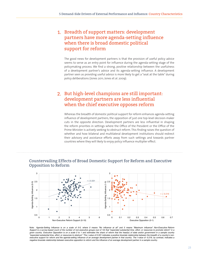#### 1. Breadth of support matters: development partners have more agenda-setting influence when there is broad domestic political support for reform

The good news for development partners is that the provision of useful policy advice seems to serve as an entry point for influence during the agenda-setting stage of the policymaking process. We find a strong, positive relationship between the usefulness of a development partner's advice and its agenda-setting influence. A development partner seen as providing useful advice is more likely to get a "seat at the table" during policy deliberations (Jones 2011; Jones et al. 2009).

#### 2. But high-level champions are still important: development partners are less influential when the chief executive opposes reform

Whereas the breadth of domestic political support for reform enhances agenda-setting influence of development partners, the opposition of just one top-level decision-maker cuts in the opposite direction. Development partners are less influential in shaping the reform priorities in settings where the Office of the President or the Office of the Prime Minister is actively seeking to obstruct reform. This finding raises the question of whether and how bilateral and multilateral development institutions should redirect their advisory and assistance efforts away from such settings and towards partner countries where they will likely to enjoy policy influence multiplier effect.



#### Countervailing Effects of Broad Domestic Support for Reform and Executive Opposition to Reform

Note: Agenda-Setting Influence is on a scale of 0-5, where 0 means "No influence at all" and 5 means "Maximum influence". Non-Executive Reform Support is a survey-based count of the number of non-executive groups (out of 10) that "expended substantial time, effort, or resources to promote reform" in a given country. Executive Opposition is on a scale 0 to 1 and estimates the share of reform that the head(s) of state and/or government in a sample country "expended substantial time, effort, or resources to obstruct." The r-value of 0.331 indicates a positive bivariate relationship between the breadth of a country's nonexecutive support for reform and the agenda-setting influence of an average development partner in that country. The r-value of -0.216, by contrast, indicates a *negative bivariate relationship between executive opposition to reform and the influence of an average development partner in a sample country.*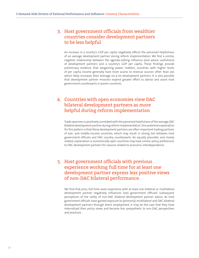#### 3. Host government officials from wealthier countries consider development partners to be less helpful

An increase in a country's GDP per capita negatively affects the perceived helpfulness of an average development partner during reform implementation. We find a similar, negative relationship between the agenda-setting influence (and advice usefulness) of development partners and a country's GDP per capita. These findings provide preliminary evidence that bargaining power matters; countries with higher levels of per capita income generally have more access to revenue sources other than aid, which likely increases their leverage vis-à-vis development partners. It is also possible that development partner missions expend greater effort to advise and assist host government counterparts in poorer countries.

#### 4. Countries with open economies view DAC bilateral development partners as more helpful during reform implementation

Trade openness is positively correlated with the perceived helpfulness of the average *DAC bilateral* development partner during reform implementation. One potential explanation for this pattern is that these development partners are often important trading partners of low- and middle-income countries, which may result in strong ties between host government officials and DAC country counterparts. An equally plausible, and closely related, explanation is economically open countries may have similar policy preferences to DAC development partners for reasons related to economic interdependence.

#### 5. Host government officials with previous experience working full time for at least one development partner express less positive views of non-DAC bilateral performance.

We find that prior, full-time work experience with at least one bilateral or multilateral development partner negatively influences host government officials' subsequent perceptions of the utility of non-DAC bilateral development partner advice. As host government officials have gained exposure to (primarily) multilateral and DAC bilateral development partners through direct employment, it may be the case that they have internalized their policy views and become less sympathetic to non-DAC perspectives and practices.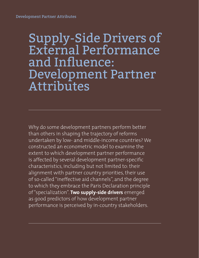## Supply-Side Drivers of External Performance and Influence: Development Partner Attributes

Why do some development partners perform better than others in shaping the trajectory of reforms undertaken by low- and middle-income countries? We constructed an econometric model to examine the extent to which development partner performance is affected by several development partner-specific characteristics, including but not limited to: their alignment with partner country priorities, their use of so-called "ineffective aid channels", and the degree to which they embrace the Paris Declaration principle of "specialization". **Two supply-side drivers** emerged as good predictors of how development partner performance is perceived by in-country stakeholders.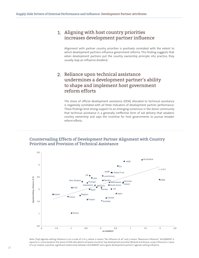#### 1. Aligning with host country priorities increases development partner influence

Alignment with partner country priorities is positively correlated with the extent to which development partners influence government reforms. This finding suggests that when development partners put the country ownership principle into practice, they usually reap an influence dividend.

#### 2. Reliance upon technical assistance undermines a development partner's ability to shape and implement host government reform efforts

The share of official development assistance (ODA) allocated to technical assistance is negatively correlated with *all three* indicators of development partner performance. These findings lend strong support to an emerging consensus in the donor community that technical assistance is a generally ineffective form of aid delivery that weakens country ownership and saps the incentive for host governments to pursue broader reform efforts.

#### Countervailing Effects of Development Partner Alignment with Country Priorities and Provision of Technical Assistance



Note: (Top) Agenda-setting influence is on a scale of 0 to 5, where 0 means "No influence at all" and 5 means "Maximum Influence". ALIGNMENT is equal to a z-score based on the share of ODA allocated to recipient countries' top development priorities (Birdsall and Kharas, 2014). A Pearson's r-value of 0.571 implies a positive, significant relationship between ALIGNMENT and a given development partner's agenda-setting influence.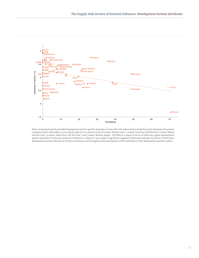

Note: Survey participants provided development partner-specific responses on how often the advice they received from each development partner contained useful information, on an ordinal scale of 1 to 5, where a score of 1 means "Almost never", 2 means "Less than half the time", 3 means "About half the time", 4 means "More than half the time", and 5 means "Almost always". TECHNICAL is equal to the % of ODA that a given development partner allocates to technical assistance. A Pearson's r-value of 0-351 implies a significant, negative relationship between the share of ODA that a development partner allocates to technical assistance and host government perceptions of the usefulness of that development partner's advice.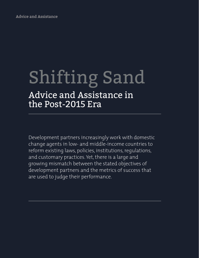Advice and Assistance

# Shifting Sand

### Advice and Assistance in the Post-2015 Era

Development partners increasingly work with domestic change agents in low- and middle-income countries to reform existing laws, policies, institutions, regulations, and customary practices. Yet, there is a large and growing mismatch between the stated objectives of development partners and the metrics of success that are used to judge their performance.